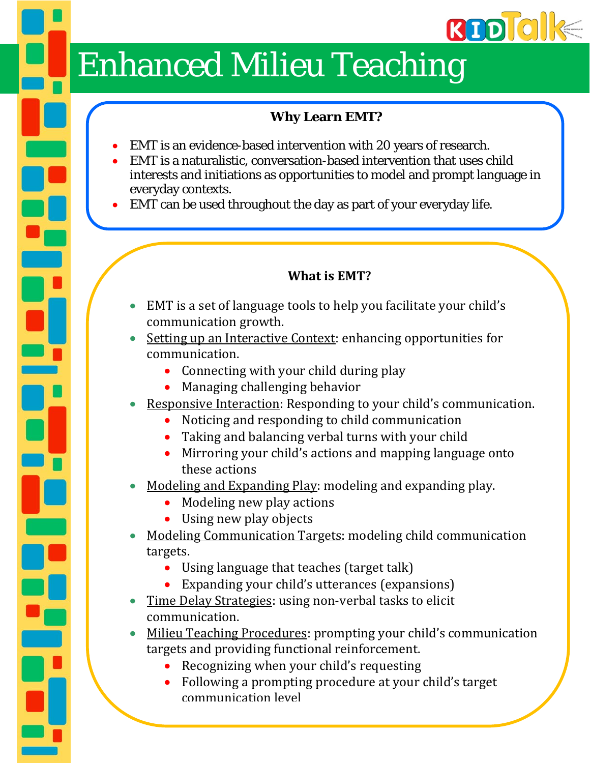# **RDDIO**

## **Enhanced Milieu Teaching**

### **Why Learn EMT?**

- EMT is an evidence-based intervention with 20 years of research.
- EMT is a naturalistic, conversation-based intervention that uses child interests and initiations as opportunities to model and prompt language in everyday contexts.
- EMT can be used throughout the day as part of your everyday life.

### **What is EMT?**

- EMT is a set of language tools to help you facilitate your child's communication growth.
- Setting up an Interactive Context: enhancing opportunities for communication.
	- Connecting with your child during play
	- $\bullet$  Managing challenging behavior
- Responsive Interaction: Responding to your child's communication.
	- Noticing and responding to child communication
	- Taking and balancing verbal turns with your child
	- Mirroring your child's actions and mapping language onto these actions
- Modeling and Expanding Play: modeling and expanding play.
	- $\bullet$  Modeling new play actions
	- Using new play objects
- Modeling Communication Targets: modeling child communication targets.
	- $\bullet$  Using language that teaches (target talk)
	- Expanding your child's utterances (expansions)
- Time Delay Strategies: using non-verbal tasks to elicit communication.
- Milieu Teaching Procedures: prompting your child's communication targets and providing functional reinforcement.
	- Recognizing when your child's requesting
	- Following a prompting procedure at your child's target communication level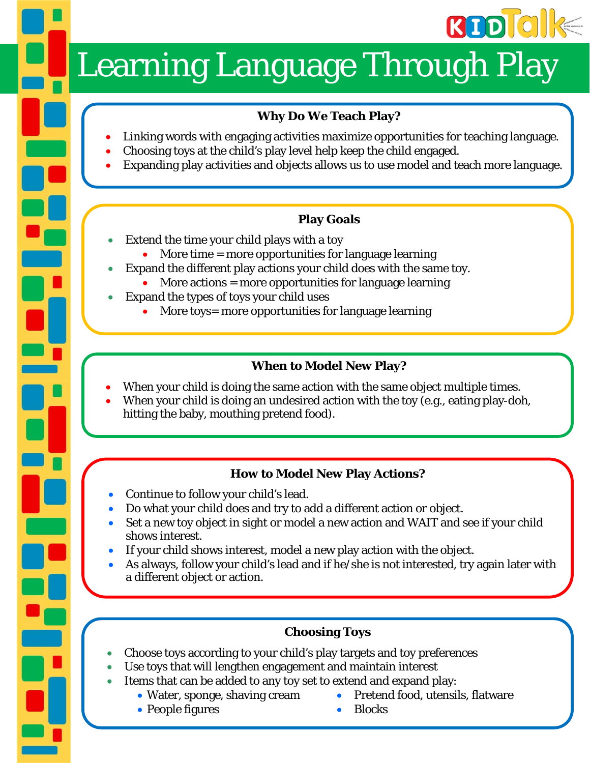

# Learning Language Through Play

### **Why Do We Teach Play?**

- Linking words with engaging activities maximize opportunities for teaching language.
- Choosing toys at the child's play level help keep the child engaged.
- Expanding play activities and objects allows us to use model and teach more language.

### **Play Goals**

- Extend the time your child plays with a toy
	- $\bullet$  More time = more opportunities for language learning
- Expand the different play actions your child does with the same toy.
- More actions = more opportunities for language learning
- Expand the types of toys your child uses
	- More toys= more opportunities for language learning

### **When to Model New Play?**

- When your child is doing the same action with the same object multiple times.
- When your child is doing an undesired action with the toy (e.g., eating play-doh, hitting the baby, mouthing pretend food).

### **How to Model New Play Actions?**

- Continue to follow your child's lead.
- Do what your child does and try to add a different action or object.
- Set a new toy object in sight or model a new action and WAIT and see if your child shows interest.
- If your child shows interest, model a new play action with the object.
- As always, follow your child's lead and if he/she is not interested, try again later with a different object or action.

### **Choosing Toys**

- Choose toys according to your child's play targets and toy preferences
- Use toys that will lengthen engagement and maintain interest
- Items that can be added to any toy set to extend and expand play:
	- Water, sponge, shaving cream Pretend food, utensils, flatware
	- People figures Blocks
- 
-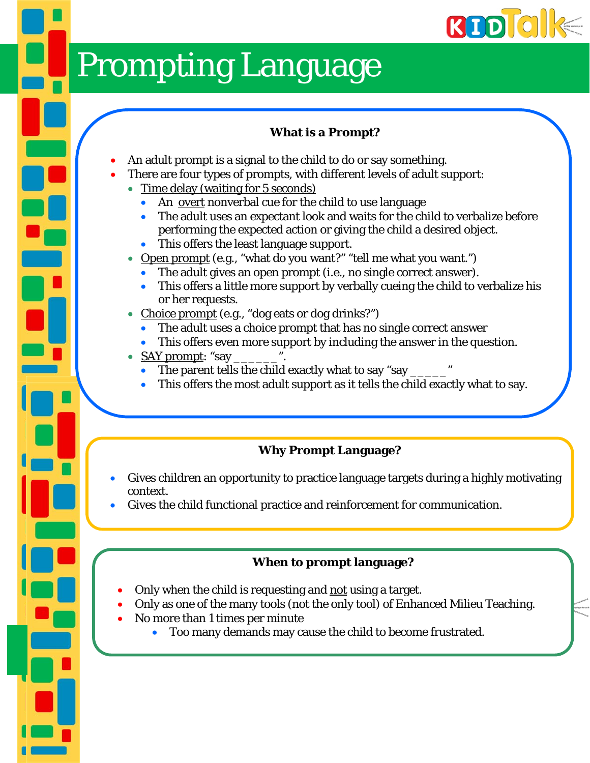

## Prompting Language

### **What is a Prompt?**

- An adult prompt is a signal to the child to do or say something.
- There are four types of prompts, with different levels of adult support:
	- Time delay (waiting for 5 seconds)
		- An overt nonverbal cue for the child to use language
		- The adult uses an expectant look and waits for the child to verbalize before performing the expected action or giving the child a desired object.
		- This offers the least language support.
	- Open prompt (e.g., "what do you want?" "tell me what you want.")
		- The adult gives an open prompt (i.e., no single correct answer).
		- This offers a little more support by verbally cueing the child to verbalize his or her requests.
	- Choice prompt (e.g., "dog eats or dog drinks?")
		- The adult uses a choice prompt that has no single correct answer
		- This offers even more support by including the answer in the question.
	- SAY prompt: "say
		- The parent tells the child exactly what to say "say \_\_\_\_\_\_\_\_\_\_\_\_\_\_\_\_\_\_\_\_\_\_\_\_\_\_\_\_\_
		- This offers the most adult support as it tells the child exactly what to say.

### **Why Prompt Language?**

- Gives children an opportunity to practice language targets during a highly motivating context.
- Gives the child functional practice and reinforcement for communication.

### **When to prompt language?**

- Only when the child is requesting and not using a target.
- Only as one of the many tools (not the only tool) of Enhanced Milieu Teaching.
- No more than 1 times per minute
	- Too many demands may cause the child to become frustrated.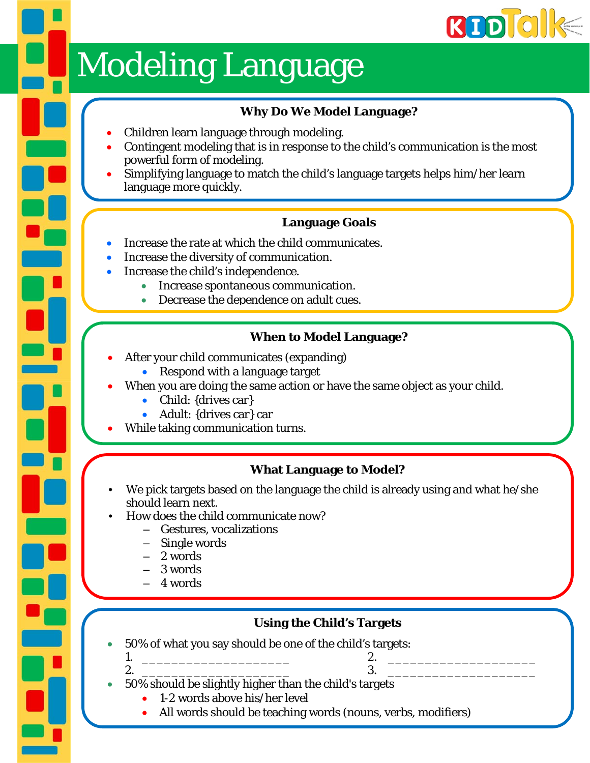

## **Modeling Language**

### **Why Do We Model Language?**

- Children learn language through modeling.
- Contingent modeling that is in response to the child's communication is the most powerful form of modeling.
- Simplifying language to match the child's language targets helps him/her learn language more quickly.

### **Language Goals**

- Increase the rate at which the child communicates.
- Increase the diversity of communication.
- Increase the child's independence.
	- Increase spontaneous communication.
	- Decrease the dependence on adult cues.

### **When to Model Language?**

- After your child communicates (expanding)
	- Respond with a language target
- When you are doing the same action or have the same object as your child.
	- Child: {drives car}
	- Adult: {drives car} car
- While taking communication turns.

### **What Language to Model?**

- We pick targets based on the language the child is already using and what he/she should learn next.
- How does the child communicate now?
	- Gestures, vocalizations
	- Single words
	- 2 words
	- 3 words
	- 4 words

### **Using the Child's Targets**

- 50% of what you say should be one of the child's targets:
	- 1. \_\_\_\_\_\_\_\_\_\_\_\_\_\_\_\_\_\_\_\_ 2. \_\_\_\_\_\_\_\_\_\_\_\_\_\_\_\_\_\_\_\_ 2. \_\_\_\_\_\_\_\_\_\_\_\_\_\_\_\_\_\_\_\_ 3. \_\_\_\_\_\_\_\_\_\_\_\_\_\_\_\_\_\_\_\_
		-
	- 50% should be slightly higher than the child's targets
		- 1-2 words above his/her level
		- All words should be teaching words (nouns, verbs, modifiers)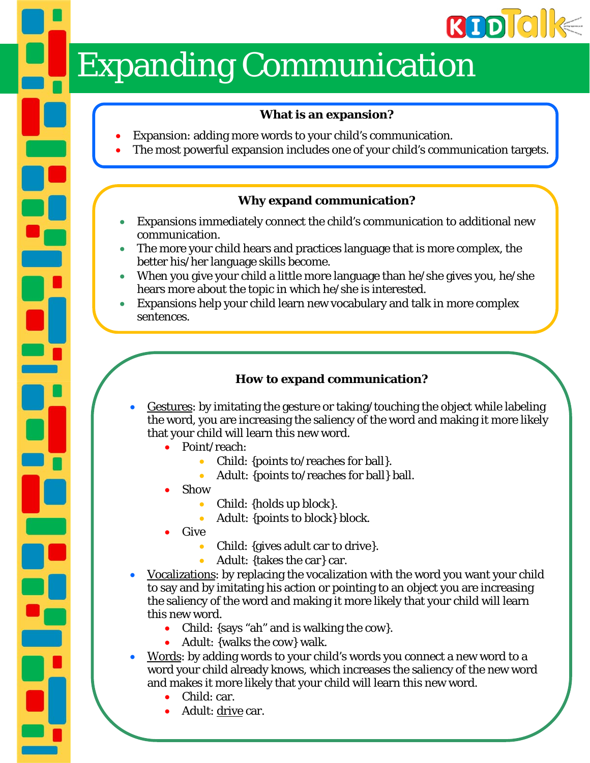# **RODICI**

## **Expanding Communication**

### **What is an expansion?**

- Expansion: adding more words to your child's communication.
- The most powerful expansion includes one of your child's communication targets.

### **Why expand communication?**

- Expansions immediately connect the child's communication to additional new communication.
- The more your child hears and practices language that is more complex, the better his/her language skills become.
- When you give your child a little more language than he/she gives you, he/she hears more about the topic in which he/she is interested.
- Expansions help your child learn new vocabulary and talk in more complex sentences.

### **How to expand communication?**

- Gestures: by imitating the gesture or taking/touching the object while labeling the word, you are increasing the saliency of the word and making it more likely that your child will learn this new word.
	- Point/reach:
		- Child: {points to/reaches for ball}.
		- Adult: {points to/reaches for ball} ball.
	- Show
		- Child: {holds up block}.
		- Adult: {points to block} block.
	- Give
		- Child: {gives adult car to drive}.
			- Adult: {takes the car} car.
- Vocalizations: by replacing the vocalization with the word you want your child to say and by imitating his action or pointing to an object you are increasing the saliency of the word and making it more likely that your child will learn this new word.
	- Child: {says "ah" and is walking the cow}.
	- Adult: {walks the cow} walk.
- Words: by adding words to your child's words you connect a new word to a word your child already knows, which increases the saliency of the new word and makes it more likely that your child will learn this new word.
	- Child: car.
	- Adult: drive car.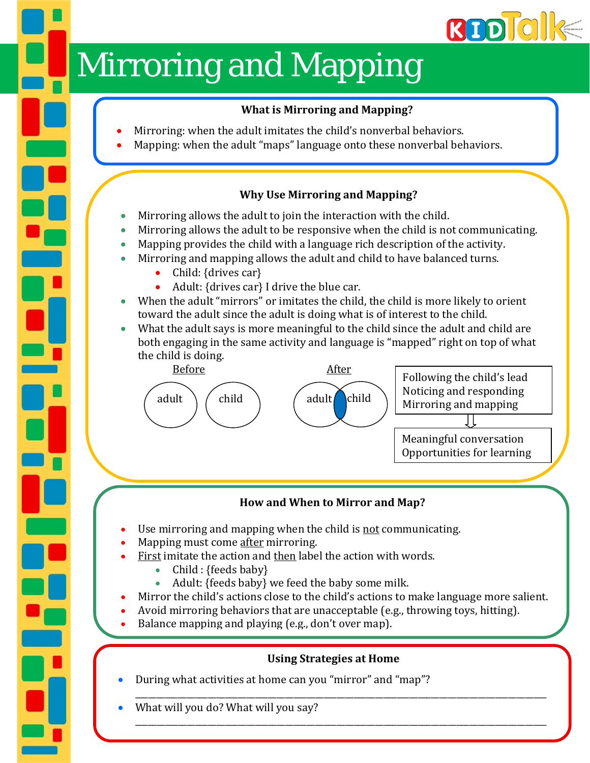# **REDIGI**

## Mirroring and Mapping

### **What is Mirroring and Mapping?**

- Mirroring: when the adult imitates the child's nonverbal behaviors.
- Mapping: when the adult "maps" language onto these nonverbal behaviors.

### **Why Use Mirroring and Mapping?**

- Mirroring allows the adult to join the interaction with the child.
- Mirroring allows the adult to be responsive when the child is not communicating.
- Mapping provides the child with a language rich description of the activity.
- Mirroring and mapping allows the adult and child to have balanced turns.
	- Child: {drives car}

R

- Adult:  $\{drives car\}$  I drive the blue car.
- When the adult "mirrors" or imitates the child, the child is more likely to orient toward the adult since the adult is doing what is of interest to the child.
- What the adult says is more meaningful to the child since the adult and child are both engaging in the same activity and language is "mapped" right on top of what the child is doing.



### **How and When to Mirror and Map?**

- Use mirroring and mapping when the child is not communicating.
- Mapping must come after mirroring.
- First imitate the action and then label the action with words.
	- Child :  ${feeds$  baby  $}$
	- Adult: {feeds baby} we feed the baby some milk.
- Mirror the child's actions close to the child's actions to make language more salient.
- Avoid mirroring behaviors that are unacceptable (e.g., throwing toys, hitting).
- Balance mapping and playing (e.g., don't over map).

### **Using Strategies at Home**

\_\_\_\_\_\_\_\_\_\_\_\_\_\_\_\_\_\_\_\_\_\_\_\_\_\_\_\_\_\_\_\_\_\_\_\_\_\_\_\_\_\_\_\_\_\_\_\_\_\_\_\_\_\_\_\_\_\_\_\_\_\_\_\_\_\_\_\_\_\_\_\_\_\_\_\_\_\_\_\_\_\_\_\_\_\_\_\_\_\_\_\_\_\_\_\_ 

\_\_\_\_\_\_\_\_\_\_\_\_\_\_\_\_\_\_\_\_\_\_\_\_\_\_\_\_\_\_\_\_\_\_\_\_\_\_\_\_\_\_\_\_\_\_\_\_\_\_\_\_\_\_\_\_\_\_\_\_\_\_\_\_\_\_\_\_\_\_\_\_\_\_\_\_\_\_\_\_\_\_\_\_\_\_\_\_\_\_\_\_\_\_\_\_ 

- During what activities at home can you "mirror" and "map"?
- What will you do? What will you say?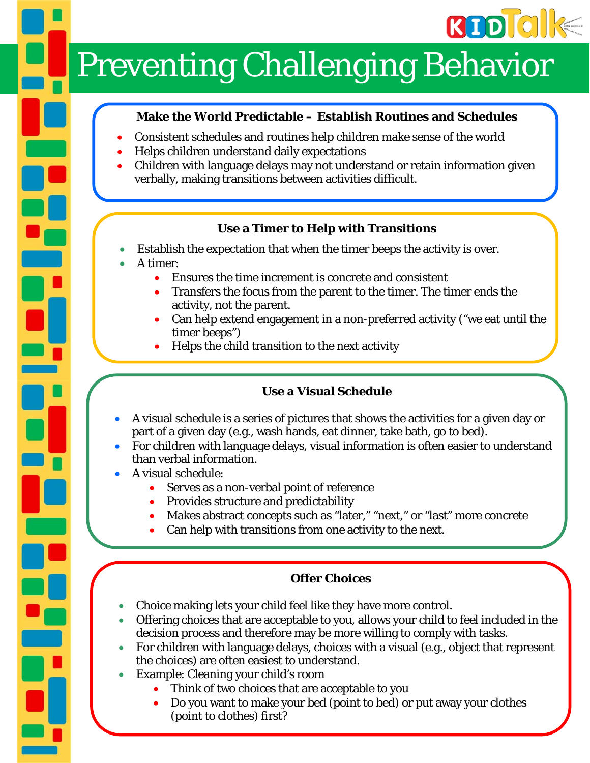

## **Preventing Challenging Behavior**

### **Make the World Predictable – Establish Routines and Schedules**

- Consistent schedules and routines help children make sense of the world
- Helps children understand daily expectations
- Children with language delays may not understand or retain information given verbally, making transitions between activities difficult.

### **Use a Timer to Help with Transitions**

- Establish the expectation that when the timer beeps the activity is over.
- A timer:
	- Ensures the time increment is concrete and consistent
	- Transfers the focus from the parent to the timer. The timer ends the activity, not the parent.
	- Can help extend engagement in a non-preferred activity ("we eat until the timer beeps")
	- Helps the child transition to the next activity

### **Use a Visual Schedule**

- A visual schedule is a series of pictures that shows the activities for a given day or part of a given day (e.g., wash hands, eat dinner, take bath, go to bed).
- For children with language delays, visual information is often easier to understand than verbal information.
- A visual schedule:
	- Serves as a non-verbal point of reference
	- Provides structure and predictability
	- Makes abstract concepts such as "later," "next," or "last" more concrete
	- Can help with transitions from one activity to the next.

### **Offer Choices**

- Choice making lets your child feel like they have more control.
- Offering choices that are acceptable to you, allows your child to feel included in the decision process and therefore may be more willing to comply with tasks.
- For children with language delays, choices with a visual (e.g., object that represent the choices) are often easiest to understand.
- Example: Cleaning your child's room
	- Think of two choices that are acceptable to you
	- Do you want to make your bed (point to bed) or put away your clothes (point to clothes) first?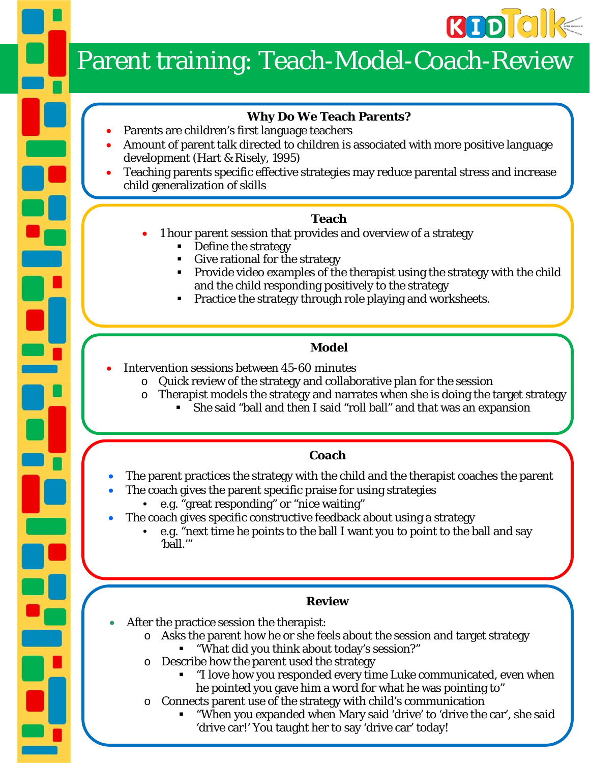

## Parent training: Teach-Model-Coach-Review

### **Why Do We Teach Parents?**

- Parents are children's first language teachers
- Amount of parent talk directed to children is associated with more positive language development (Hart & Risely, 1995)
- Teaching parents specific effective strategies may reduce parental stress and increase child generalization of skills

### **Teach**

- 1 hour parent session that provides and overview of a strategy
	- Define the strategy
	- Give rational for the strategy
	- Provide video examples of the therapist using the strategy with the child and the child responding positively to the strategy
	- Practice the strategy through role playing and worksheets.

### **Model**

- Intervention sessions between 45-60 minutes
	- o Quick review of the strategy and collaborative plan for the session
	- o Therapist models the strategy and narrates when she is doing the target strategy
		- She said "ball and then I said "roll ball" and that was an expansion

### **Coach**

- The parent practices the strategy with the child and the therapist coaches the parent
	- The coach gives the parent specific praise for using strategies
	- e.g. "great responding" or "nice waiting"
- The coach gives specific constructive feedback about using a strategy
	- e.g. "next time he points to the ball I want you to point to the ball and say 'ball.'"

### **Review**

- After the practice session the therapist:
	- o Asks the parent how he or she feels about the session and target strategy
	- "What did you think about today's session?"
	- o Describe how the parent used the strategy
		- "I love how you responded every time Luke communicated, even when he pointed you gave him a word for what he was pointing to"
	- Connects parent use of the strategy with child's communication
		- "When you expanded when Mary said 'drive' to 'drive the car', she said 'drive car!' You taught her to say 'drive car' today!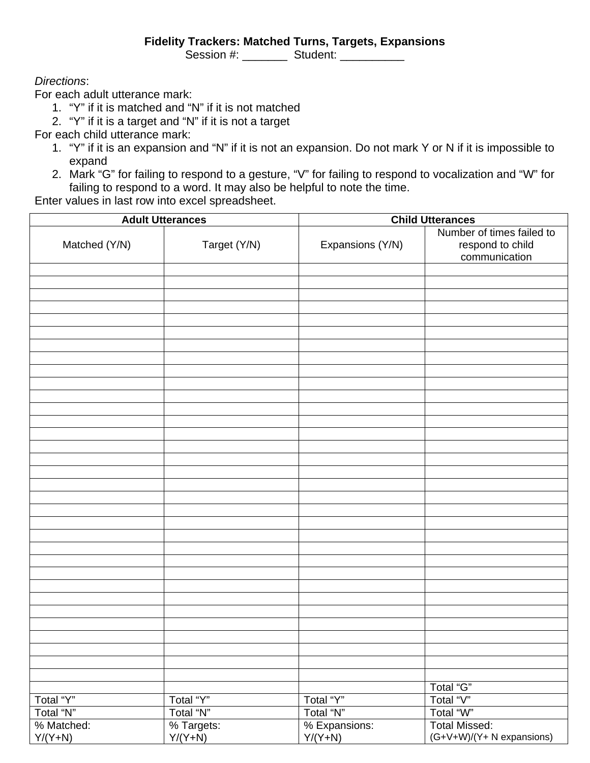#### **Fidelity Trackers: Matched Turns, Targets, Expansions**

Session #: \_\_\_\_\_\_\_\_ Student: \_\_\_\_\_\_\_\_\_\_

#### *Directions*:

For each adult utterance mark:

- 1. "Y" if it is matched and "N" if it is not matched
- 2. "Y" if it is a target and "N" if it is not a target

For each child utterance mark:

- 1. "Y" if it is an expansion and "N" if it is not an expansion. Do not mark Y or N if it is impossible to expand
- 2. Mark "G" for failing to respond to a gesture, "V" for failing to respond to vocalization and "W" for failing to respond to a word. It may also be helpful to note the time.

Enter values in last row into excel spreadsheet.

| <b>Adult Utterances</b> |              |                  | <b>Child Utterances</b>                                        |  |  |  |
|-------------------------|--------------|------------------|----------------------------------------------------------------|--|--|--|
| Matched (Y/N)           | Target (Y/N) | Expansions (Y/N) | Number of times failed to<br>respond to child<br>communication |  |  |  |
|                         |              |                  |                                                                |  |  |  |
|                         |              |                  |                                                                |  |  |  |
|                         |              |                  |                                                                |  |  |  |
|                         |              |                  |                                                                |  |  |  |
|                         |              |                  |                                                                |  |  |  |
|                         |              |                  |                                                                |  |  |  |
|                         |              |                  |                                                                |  |  |  |
|                         |              |                  |                                                                |  |  |  |
|                         |              |                  |                                                                |  |  |  |
|                         |              |                  |                                                                |  |  |  |
|                         |              |                  |                                                                |  |  |  |
|                         |              |                  |                                                                |  |  |  |
|                         |              |                  |                                                                |  |  |  |
|                         |              |                  |                                                                |  |  |  |
|                         |              |                  |                                                                |  |  |  |
|                         |              |                  |                                                                |  |  |  |
|                         |              |                  |                                                                |  |  |  |
|                         |              |                  |                                                                |  |  |  |
|                         |              |                  |                                                                |  |  |  |
|                         |              |                  |                                                                |  |  |  |
|                         |              |                  |                                                                |  |  |  |
|                         |              |                  |                                                                |  |  |  |
|                         |              |                  |                                                                |  |  |  |
|                         |              |                  |                                                                |  |  |  |
|                         |              |                  |                                                                |  |  |  |
|                         |              |                  |                                                                |  |  |  |
|                         |              |                  |                                                                |  |  |  |
|                         |              |                  |                                                                |  |  |  |
|                         |              |                  |                                                                |  |  |  |
|                         |              |                  |                                                                |  |  |  |
|                         |              |                  |                                                                |  |  |  |
|                         |              |                  |                                                                |  |  |  |
|                         |              |                  | Total "G"                                                      |  |  |  |
| Total "Y"               | Total "Y"    | Total "Y"        | Total "V"                                                      |  |  |  |
| Total "N"               | Total "N"    | Total "N"        | Total "W"                                                      |  |  |  |
| % Matched:              | % Targets:   | % Expansions:    | <b>Total Missed:</b>                                           |  |  |  |
| $Y/(Y+N)$               | $Y/(Y+N)$    | $Y/(Y+N)$        | (G+V+W)/(Y+ N expansions)                                      |  |  |  |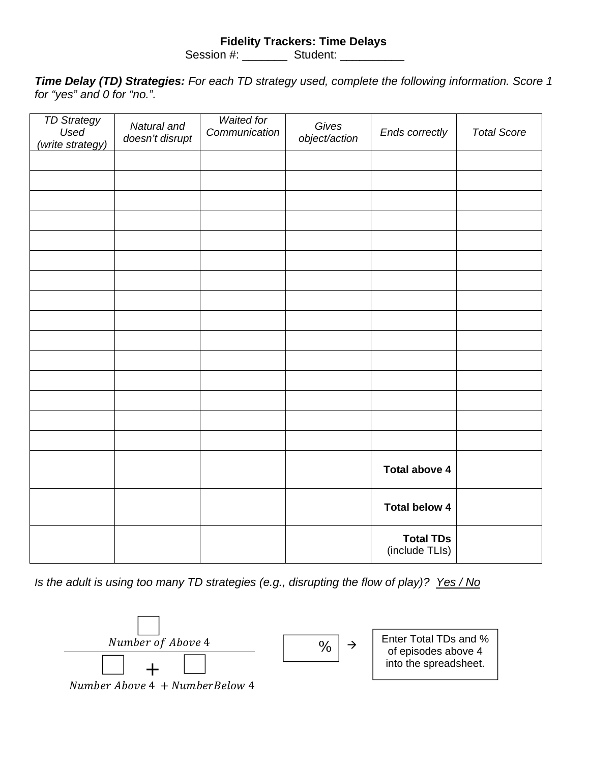#### **Fidelity Trackers: Time Delays**

Session #: \_\_\_\_\_\_\_\_ Student: \_\_\_\_\_\_\_\_\_

*Time Delay (TD) Strategies: For each TD strategy used, complete the following information. Score 1 for "yes" and 0 for "no.".* 

| <b>TD Strategy</b><br>Used<br>(write strategy) | Natural and<br>doesn't disrupt | <b>Waited for</b><br>Communication | Gives<br>object/action | Ends correctly                     | <b>Total Score</b> |
|------------------------------------------------|--------------------------------|------------------------------------|------------------------|------------------------------------|--------------------|
|                                                |                                |                                    |                        |                                    |                    |
|                                                |                                |                                    |                        |                                    |                    |
|                                                |                                |                                    |                        |                                    |                    |
|                                                |                                |                                    |                        |                                    |                    |
|                                                |                                |                                    |                        |                                    |                    |
|                                                |                                |                                    |                        |                                    |                    |
|                                                |                                |                                    |                        |                                    |                    |
|                                                |                                |                                    |                        |                                    |                    |
|                                                |                                |                                    |                        |                                    |                    |
|                                                |                                |                                    |                        |                                    |                    |
|                                                |                                |                                    |                        |                                    |                    |
|                                                |                                |                                    |                        |                                    |                    |
|                                                |                                |                                    |                        |                                    |                    |
|                                                |                                |                                    |                        |                                    |                    |
|                                                |                                |                                    |                        |                                    |                    |
|                                                |                                |                                    |                        | <b>Total above 4</b>               |                    |
|                                                |                                |                                    |                        | <b>Total below 4</b>               |                    |
|                                                |                                |                                    |                        | <b>Total TDs</b><br>(include TLIs) |                    |

*Is the adult is using too many TD strategies (e.g., disrupting the flow of play)? Yes / No*